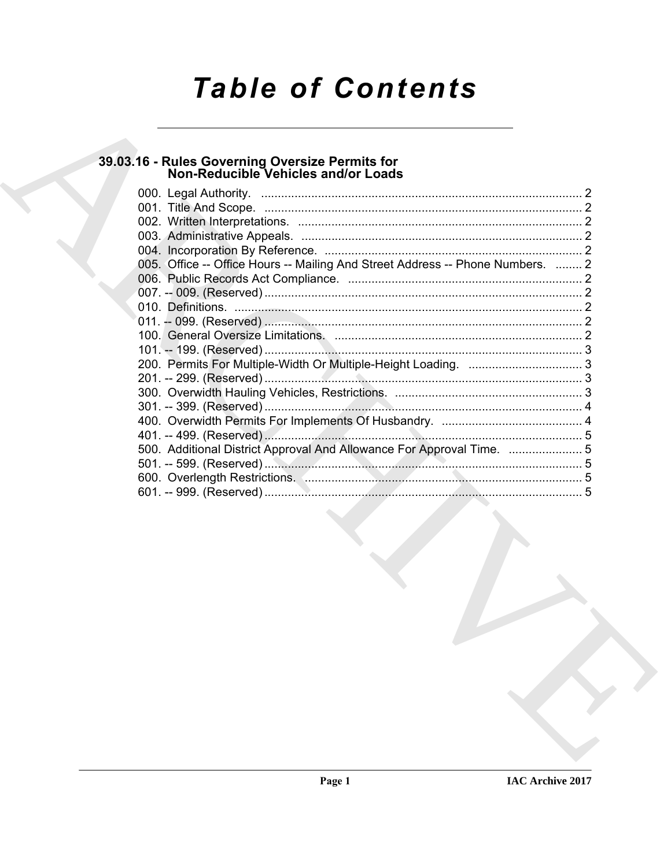# **Table of Contents**

# 39.03.16 - Rules Governing Oversize Permits for<br>Non-Reducible Vehicles and/or Loads

| 005. Office -- Office Hours -- Mailing And Street Address -- Phone Numbers.  2 |  |
|--------------------------------------------------------------------------------|--|
|                                                                                |  |
|                                                                                |  |
|                                                                                |  |
|                                                                                |  |
|                                                                                |  |
|                                                                                |  |
|                                                                                |  |
|                                                                                |  |
|                                                                                |  |
|                                                                                |  |
|                                                                                |  |
|                                                                                |  |
|                                                                                |  |
|                                                                                |  |
| 500. Additional District Approval And Allowance For Approval Time. 5           |  |
|                                                                                |  |
|                                                                                |  |
|                                                                                |  |
|                                                                                |  |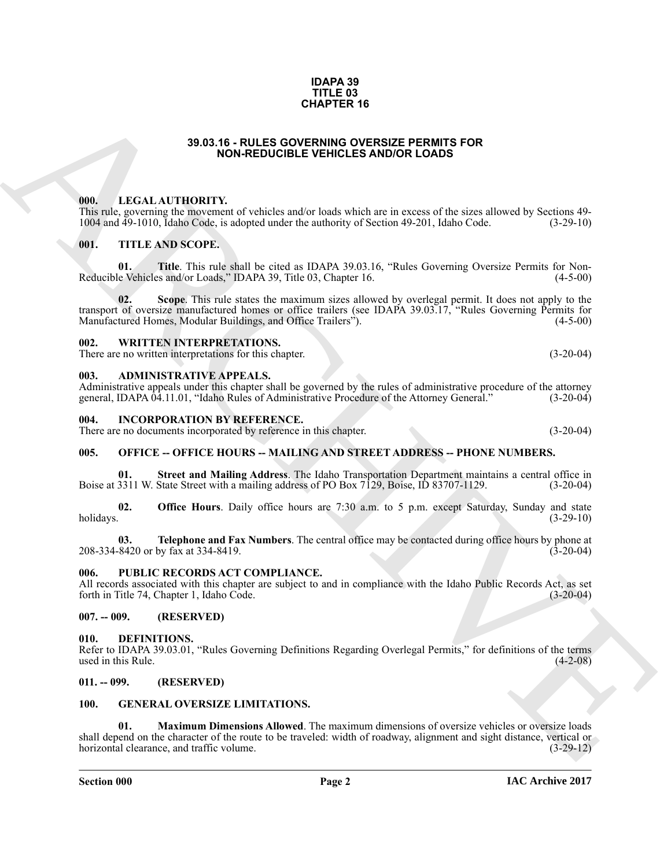#### **IDAPA 39 TITLE 03 CHAPTER 16**

## **39.03.16 - RULES GOVERNING OVERSIZE PERMITS FOR NON-REDUCIBLE VEHICLES AND/OR LOADS**

### <span id="page-1-1"></span><span id="page-1-0"></span>**000. LEGAL AUTHORITY.**

This rule, governing the movement of vehicles and/or loads which are in excess of the sizes allowed by Sections 49- 1004 and 49-1010, Idaho Code, is adopted under the authority of Section 49-201, Idaho Code. (3-29-10)

# <span id="page-1-2"></span>**001. TITLE AND SCOPE.**

**01. Title**. This rule shall be cited as IDAPA 39.03.16, "Rules Governing Oversize Permits for Non-Reducible Vehicles and/or Loads," IDAPA 39, Title 03, Chapter 16. (4-5-00)

**02. Scope**. This rule states the maximum sizes allowed by overlegal permit. It does not apply to the transport of oversize manufactured homes or office trailers (see IDAPA 39.03.17, "Rules Governing Permits for Manufactured Homes, Modular Buildings, and Office Trailers"). (4-5-00)

#### <span id="page-1-3"></span>**002. WRITTEN INTERPRETATIONS.**

There are no written interpretations for this chapter. (3-20-04)

#### <span id="page-1-4"></span>**003. ADMINISTRATIVE APPEALS.**

Administrative appeals under this chapter shall be governed by the rules of administrative procedure of the attorney general, IDAPA 04.11.01, "Idaho Rules of Administrative Procedure of the Attorney General." (3-20-04)

#### <span id="page-1-5"></span>**004. INCORPORATION BY REFERENCE.**

There are no documents incorporated by reference in this chapter. (3-20-04)

# <span id="page-1-6"></span>**005. OFFICE -- OFFICE HOURS -- MAILING AND STREET ADDRESS -- PHONE NUMBERS.**

**01. Street and Mailing Address**. The Idaho Transportation Department maintains a central office in Boise at 3311 W. State Street with a mailing address of PO Box 7129, Boise, ID 83707-1129. (3-20-04)

**02. Office Hours**. Daily office hours are 7:30 a.m. to 5 p.m. except Saturday, Sunday and state holidays. (3-29-10)

**03. Telephone and Fax Numbers**. The central office may be contacted during office hours by phone at 208-334-8420 or by fax at 334-8419. (3-20-04)

# <span id="page-1-7"></span>**006. PUBLIC RECORDS ACT COMPLIANCE.**

All records associated with this chapter are subject to and in compliance with the Idaho Public Records Act, as set forth in Title 74, Chapter 1, Idaho Code. (3-20-04) forth in Title 74, Chapter 1, Idaho Code.

<span id="page-1-8"></span>**007. -- 009. (RESERVED)**

### <span id="page-1-12"></span><span id="page-1-9"></span>**010. DEFINITIONS.**

Refer to IDAPA 39.03.01, "Rules Governing Definitions Regarding Overlegal Permits," for definitions of the terms used in this Rule. (4-2-08)

### <span id="page-1-10"></span>**011. -- 099. (RESERVED)**

# <span id="page-1-14"></span><span id="page-1-13"></span><span id="page-1-11"></span>**100. GENERAL OVERSIZE LIMITATIONS.**

**39.03.16 - RULES MADERIENTS 16**<br> **ARCHIVES AND CREATIVE CONSUMERATION CONTINUOUS CONSUMERATION**<br> **ARCHIVES AND CREATIVE CONSUMERATION CONSUMERATION**<br> **ARCHIVES AND CREATIVE CONSUMERATION CONSUMERATION**<br> **ARCHIVES AND CRE 01. Maximum Dimensions Allowed**. The maximum dimensions of oversize vehicles or oversize loads shall depend on the character of the route to be traveled: width of roadway, alignment and sight distance, vertical or horizontal clearance, and traffic volume. (3-29-12)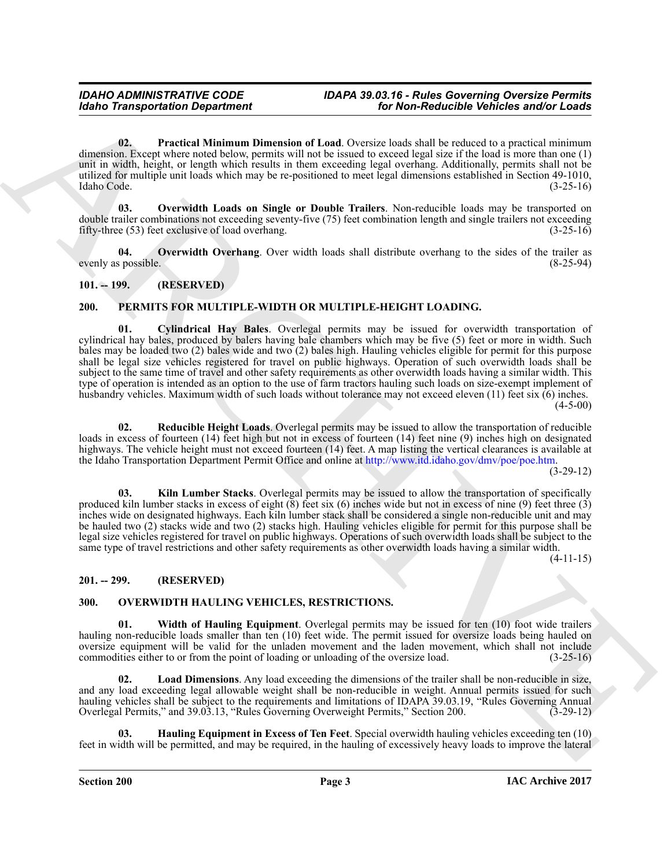<span id="page-2-6"></span>**02. Practical Minimum Dimension of Load**. Oversize loads shall be reduced to a practical minimum dimension. Except where noted below, permits will not be issued to exceed legal size if the load is more than one (1) unit in width, height, or length which results in them exceeding legal overhang. Additionally, permits shall not be utilized for multiple unit loads which may be re-positioned to meet legal dimensions established in Section 49-1010, Idaho Code. (3-25-16)

<span id="page-2-4"></span>**03. Overwidth Loads on Single or Double Trailers**. Non-reducible loads may be transported on double trailer combinations not exceeding seventy-five (75) feet combination length and single trailers not exceeding fifty-three (53) feet exclusive of load overhang. (3-25-16)

<span id="page-2-5"></span>**04.** Overwidth Overhang. Over width loads shall distribute overhang to the sides of the trailer as possible. (8-25-94) evenly as possible.

# <span id="page-2-0"></span>**101. -- 199. (RESERVED)**

# <span id="page-2-12"></span><span id="page-2-11"></span><span id="page-2-1"></span>**200. PERMITS FOR MULTIPLE-WIDTH OR MULTIPLE-HEIGHT LOADING.**

Gotio Transportation Department<br>
Car Non-Reichschliche Wellecks and the Counter of Land Counter of Land Counter of Land Counter of Land Counter of Land<br>
and Counter of Land Counter of Land Counter of Land Counter of Land **01. Cylindrical Hay Bales**. Overlegal permits may be issued for overwidth transportation of cylindrical hay bales, produced by balers having bale chambers which may be five (5) feet or more in width. Such bales may be loaded two (2) bales wide and two (2) bales high. Hauling vehicles eligible for permit for this purpose shall be legal size vehicles registered for travel on public highways. Operation of such overwidth loads shall be subject to the same time of travel and other safety requirements as other overwidth loads having a similar width. This type of operation is intended as an option to the use of farm tractors hauling such loads on size-exempt implement of husbandry vehicles. Maximum width of such loads without tolerance may not exceed eleven (11) feet six (6) inches.  $(4-5-00)$ 

<span id="page-2-14"></span>**02. Reducible Height Loads**. Overlegal permits may be issued to allow the transportation of reducible loads in excess of fourteen (14) feet high but not in excess of fourteen (14) feet nine (9) inches high on designated highways. The vehicle height must not exceed fourteen (14) feet. A map listing the vertical clearances is available at the Idaho Transportation Department Permit Office and online at http://www.itd.idaho.gov/dmv/poe/poe.htm.

(3-29-12)

<span id="page-2-13"></span>**03. Kiln Lumber Stacks**. Overlegal permits may be issued to allow the transportation of specifically produced kiln lumber stacks in excess of eight  $(\bar{8})$  feet six  $(6)$  inches wide but not in excess of nine  $(9)$  feet three  $(3)$ inches wide on designated highways. Each kiln lumber stack shall be considered a single non-reducible unit and may be hauled two (2) stacks wide and two (2) stacks high. Hauling vehicles eligible for permit for this purpose shall be legal size vehicles registered for travel on public highways. Operations of such overwidth loads shall be subject to the same type of travel restrictions and other safety requirements as other overwidth loads having a similar width.

 $(4-11-15)$ 

# <span id="page-2-2"></span>**201. -- 299. (RESERVED)**

# <span id="page-2-7"></span><span id="page-2-3"></span>**300. OVERWIDTH HAULING VEHICLES, RESTRICTIONS.**

<span id="page-2-10"></span>**01. Width of Hauling Equipment**. Overlegal permits may be issued for ten (10) foot wide trailers hauling non-reducible loads smaller than ten (10) feet wide. The permit issued for oversize loads being hauled on oversize equipment will be valid for the unladen movement and the laden movement, which shall not include commodities either to or from the point of loading or unloading of the oversize load. (3-25-16)

<span id="page-2-9"></span>**02. Load Dimensions**. Any load exceeding the dimensions of the trailer shall be non-reducible in size, and any load exceeding legal allowable weight shall be non-reducible in weight. Annual permits issued for such hauling vehicles shall be subject to the requirements and limitations of IDAPA 39.03.19, "Rules Governing Annual Overlegal Permits," and 39.03.13, "Rules Governing Overweight Permits," Section 200. (3-29-12)

<span id="page-2-8"></span>**03. Hauling Equipment in Excess of Ten Feet**. Special overwidth hauling vehicles exceeding ten (10) feet in width will be permitted, and may be required, in the hauling of excessively heavy loads to improve the lateral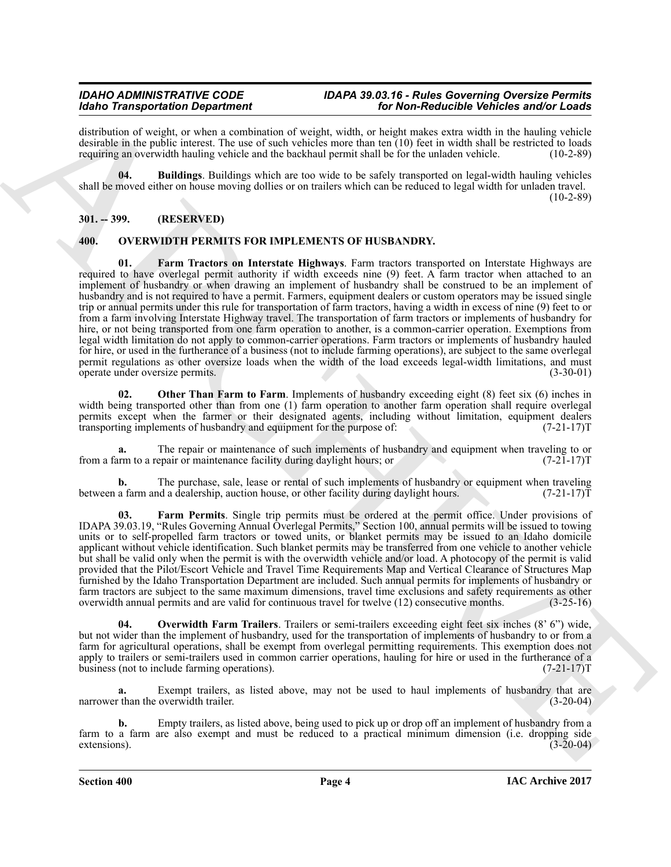# *IDAHO ADMINISTRATIVE CODE IDAPA 39.03.16 - Rules Governing Oversize Permits Idaho Transportation Department for Non-Reducible Vehicles and/or Loads*

distribution of weight, or when a combination of weight, width, or height makes extra width in the hauling vehicle desirable in the public interest. The use of such vehicles more than ten  $(10)$  feet in width shall be restricted to loads requiring an overwidth hauling vehicle and the backhaul permit shall be for the unladen vehicle. (10-2-89)

<span id="page-3-2"></span>**04. Buildings**. Buildings which are too wide to be safely transported on legal-width hauling vehicles shall be moved either on house moving dollies or on trailers which can be reduced to legal width for unladen travel.  $(10-2-89)$ 

# <span id="page-3-0"></span>**301. -- 399. (RESERVED)**

# <span id="page-3-5"></span><span id="page-3-3"></span><span id="page-3-1"></span>**400. OVERWIDTH PERMITS FOR IMPLEMENTS OF HUSBANDRY.**

Mode Tarapachase Dependent of the Mode Tarapachase Constitution of the Mode Tarapachase Constitution of the Mode Tarapachase Constitution of the Model Tarapachase Constitution of the Model Tarapachase Constitution of the **Farm Tractors on Interstate Highways**. Farm tractors transported on Interstate Highways are required to have overlegal permit authority if width exceeds nine (9) feet. A farm tractor when attached to an implement of husbandry or when drawing an implement of husbandry shall be construed to be an implement of husbandry and is not required to have a permit. Farmers, equipment dealers or custom operators may be issued single trip or annual permits under this rule for transportation of farm tractors, having a width in excess of nine (9) feet to or from a farm involving Interstate Highway travel. The transportation of farm tractors or implements of husbandry for hire, or not being transported from one farm operation to another, is a common-carrier operation. Exemptions from legal width limitation do not apply to common-carrier operations. Farm tractors or implements of husbandry hauled for hire, or used in the furtherance of a business (not to include farming operations), are subject to the same overlegal permit regulations as other oversize loads when the width of the load exceeds legal-width limitations, and must<br>(3-30-01) (3-30-01) operate under oversize permits.

<span id="page-3-6"></span>**02.** Other Than Farm to Farm. Implements of husbandry exceeding eight (8) feet six (6) inches in width being transported other than from one (1) farm operation to another farm operation shall require overlegal permits except when the farmer or their designated agents, including without limitation, equipment dealers transporting implements of husbandry and equipment for the purpose of: (7-21-17) transporting implements of husbandry and equipment for the purpose of:

The repair or maintenance of such implements of husbandry and equipment when traveling to or epair or maintenance facility during daylight hours; or  $(7-21-17)$ from a farm to a repair or maintenance facility during daylight hours; or

**b.** The purchase, sale, lease or rental of such implements of husbandry or equipment when traveling between a farm and a dealership, auction house, or other facility during daylight hours. (7-21-17)

<span id="page-3-4"></span>**03. Farm Permits**. Single trip permits must be ordered at the permit office. Under provisions of IDAPA 39.03.19, "Rules Governing Annual Overlegal Permits," Section 100, annual permits will be issued to towing units or to self-propelled farm tractors or towed units, or blanket permits may be issued to an Idaho domicile applicant without vehicle identification. Such blanket permits may be transferred from one vehicle to another vehicle but shall be valid only when the permit is with the overwidth vehicle and/or load. A photocopy of the permit is valid provided that the Pilot/Escort Vehicle and Travel Time Requirements Map and Vertical Clearance of Structures Map furnished by the Idaho Transportation Department are included. Such annual permits for implements of husbandry or farm tractors are subject to the same maximum dimensions, travel time exclusions and safety requirements as other overwidth annual permits and are valid for continuous travel for twelve (12) consecutive months. (3-25-16) overwidth annual permits and are valid for continuous travel for twelve (12) consecutive months.

<span id="page-3-7"></span>**04. Overwidth Farm Trailers**. Trailers or semi-trailers exceeding eight feet six inches (8' 6") wide, but not wider than the implement of husbandry, used for the transportation of implements of husbandry to or from a farm for agricultural operations, shall be exempt from overlegal permitting requirements. This exemption does not apply to trailers or semi-trailers used in common carrier operations, hauling for hire or used in the furtherance of a business (not to include farming operations). (7-21-17) business (not to include farming operations).

**a.** Exempt trailers, as listed above, may not be used to haul implements of husbandry that are than the overwidth trailer. (3-20-04) narrower than the overwidth trailer.

**b.** Empty trailers, as listed above, being used to pick up or drop off an implement of husbandry from a farm to a farm are also exempt and must be reduced to a practical minimum dimension (i.e. dropping side extensions).  $(3-20-04)$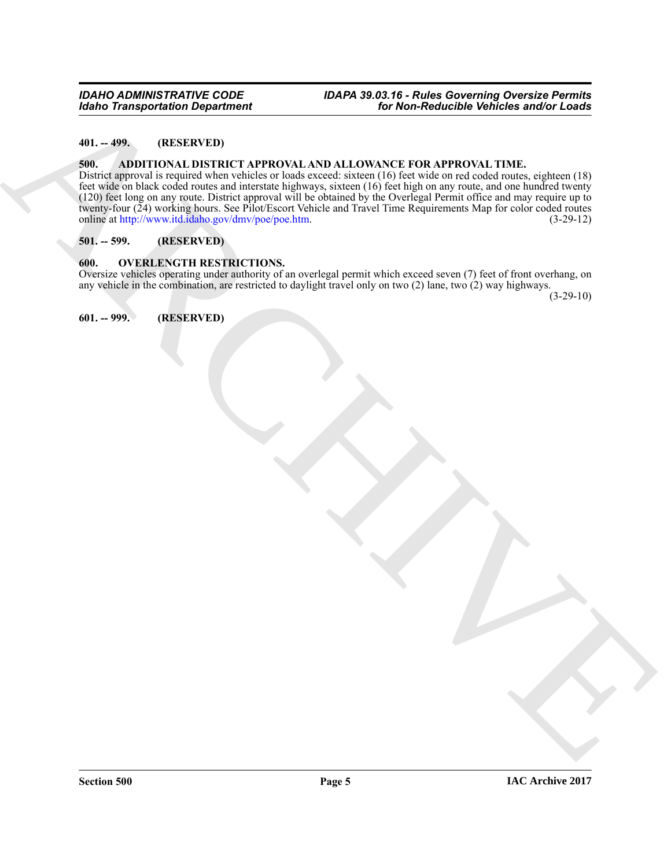# <span id="page-4-0"></span>**401. -- 499. (RESERVED)**

#### <span id="page-4-5"></span><span id="page-4-1"></span>**500. ADDITIONAL DISTRICT APPROVAL AND ALLOWANCE FOR APPROVAL TIME.**

**Example 12.** (2014)<br> **[AR](http://www.itd.idaho.gov/dmv/poe/poe.htm)CHIVE STRUCT APPROVAL AND ALLOWANCE FOR APPROVAL TIME**<br> **ARCHIVE STRUCT APPROVAL AND ALLOWANCE FOR APPROVAL TIME**<br> **ARCHIVE STRUCT APPROVAL AND ALLOWANCE FOR APPROVAL TIME**<br> **ARCHIVE STRUCT APPROV** District approval is required when vehicles or loads exceed: sixteen (16) feet wide on red coded routes, eighteen (18) feet wide on black coded routes and interstate highways, sixteen (16) feet high on any route, and one hundred twenty (120) feet long on any route. District approval will be obtained by the Overlegal Permit office and may require up to twenty-four (24) working hours. See Pilot/Escort Vehicle and Travel Time Requirements Map for color coded routes online at http://www.itd.idaho.gov/dmv/poe/poe.htm. (3-29-12)

# <span id="page-4-2"></span>**501. -- 599. (RESERVED)**

#### <span id="page-4-6"></span><span id="page-4-3"></span>**600. OVERLENGTH RESTRICTIONS.**

Oversize vehicles operating under authority of an overlegal permit which exceed seven (7) feet of front overhang, on any vehicle in the combination, are restricted to daylight travel only on two (2) lane, two (2) way highways.

 $(3-29-10)$ 

<span id="page-4-4"></span>**601. -- 999. (RESERVED)**